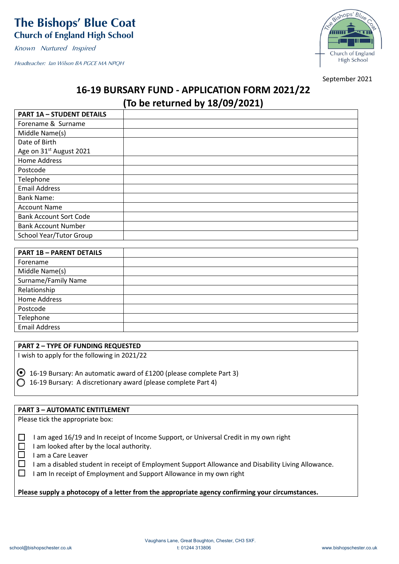# **The Bishops' Blue Coat Church of England High School**

Known Nurtured Inspired

Headteacher: Ian Wilson BA PGCE MA NPQH



September 2021

# **16-19 BURSARY FUND - APPLICATION FORM 2021/22**

# **(To be returned by 18/09/2021)**

| <b>PART 1A - STUDENT DETAILS</b>    |  |
|-------------------------------------|--|
| Forename & Surname                  |  |
| Middle Name(s)                      |  |
| Date of Birth                       |  |
| Age on 31 <sup>st</sup> August 2021 |  |
| Home Address                        |  |
| Postcode                            |  |
| Telephone                           |  |
| <b>Email Address</b>                |  |
| <b>Bank Name:</b>                   |  |
| <b>Account Name</b>                 |  |
| <b>Bank Account Sort Code</b>       |  |
| <b>Bank Account Number</b>          |  |
| School Year/Tutor Group             |  |

| <b>PART 1B - PARENT DETAILS</b> |  |
|---------------------------------|--|
| Forename                        |  |
| Middle Name(s)                  |  |
| Surname/Family Name             |  |
| Relationship                    |  |
| Home Address                    |  |
| Postcode                        |  |
| Telephone                       |  |
| <b>Email Address</b>            |  |

## **PART 2 – TYPE OF FUNDING REQUESTED**

I wish to apply for the following in 2021/22

 $\odot$  16-19 Bursary: An automatic award of £1200 (please complete Part 3) 16-19 Bursary: A discretionary award (please complete Part 4)

## **PART 3 – AUTOMATIC ENTITLEMENT**

Please tick the appropriate box:

 $\Box$  I am aged 16/19 and In receipt of Income Support, or Universal Credit in my own right

 $\Box$  I am looked after by the local authority.

- $\Box$  I am a Care Leaver
- $\Box$  I am a disabled student in receipt of Employment Support Allowance and Disability Living Allowance.

 $\Box$  I am In receipt of Employment and Support Allowance in my own right

**Please supply a photocopy of a letter from the appropriate agency confirming your circumstances.**